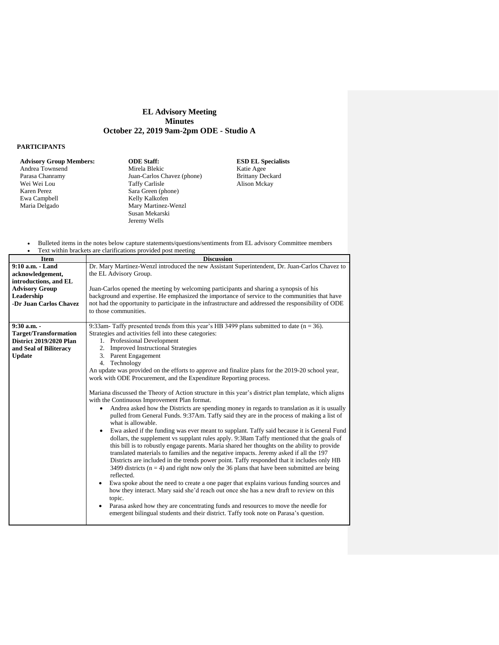## **EL Advisory Meeting Minutes October 22, 2019 9am-2pm ODE - Studio A**

## **PARTICIPANTS**

Andrea Townsend Parasa Chanramy Wei Wei Lou Karen Perez Ewa Campbell Maria Delgado

**Advisory Group Members: ODE Staff: ESD EL Specialists** Mirela Blekic Juan-Carlos Chavez (phone) Taffy Carlisle Sara Green (phone) Kelly Kalkofen Mary Martinez-Wenzl Susan Mekarski Jeremy Wells

Katie Agee Brittany Deckard Alison Mckay

- Bulleted items in the notes below capture statements/questions/sentiments from EL advisory Committee members
- Text within brackets are clarifications provided post meeting

| <b>Item</b>                    | <b>Discussion</b>                                                                                                                                                                         |  |  |
|--------------------------------|-------------------------------------------------------------------------------------------------------------------------------------------------------------------------------------------|--|--|
| 9:10 a.m. - Land               | Dr. Mary Martinez-Wenzl introduced the new Assistant Superintendent, Dr. Juan-Carlos Chavez to                                                                                            |  |  |
| acknowledgement,               | the EL Advisory Group.                                                                                                                                                                    |  |  |
| introductions, and EL          |                                                                                                                                                                                           |  |  |
| <b>Advisory Group</b>          | Juan-Carlos opened the meeting by welcoming participants and sharing a synopsis of his                                                                                                    |  |  |
| Leadership                     | background and expertise. He emphasized the importance of service to the communities that have                                                                                            |  |  |
| -Dr Juan Carlos Chavez         | not had the opportunity to participate in the infrastructure and addressed the responsibility of ODE                                                                                      |  |  |
|                                | to those communities.                                                                                                                                                                     |  |  |
| $9:30$ a.m. -                  | 9:33am-Taffy presented trends from this year's HB 3499 plans submitted to date $(n = 36)$ .                                                                                               |  |  |
| <b>Target/Transformation</b>   | Strategies and activities fell into these categories:                                                                                                                                     |  |  |
| <b>District 2019/2020 Plan</b> | 1. Professional Development                                                                                                                                                               |  |  |
| and Seal of Biliteracy         | 2. Improved Instructional Strategies                                                                                                                                                      |  |  |
| <b>Update</b>                  | 3. Parent Engagement                                                                                                                                                                      |  |  |
|                                | 4. Technology                                                                                                                                                                             |  |  |
|                                | An update was provided on the efforts to approve and finalize plans for the 2019-20 school year,                                                                                          |  |  |
|                                | work with ODE Procurement, and the Expenditure Reporting process.                                                                                                                         |  |  |
|                                |                                                                                                                                                                                           |  |  |
|                                | Mariana discussed the Theory of Action structure in this year's district plan template, which aligns                                                                                      |  |  |
|                                | with the Continuous Improvement Plan format.                                                                                                                                              |  |  |
|                                | Andrea asked how the Districts are spending money in regards to translation as it is usually                                                                                              |  |  |
|                                | pulled from General Funds. 9:37Am. Taffy said they are in the process of making a list of                                                                                                 |  |  |
|                                | what is allowable.                                                                                                                                                                        |  |  |
|                                | Ewa asked if the funding was ever meant to supplant. Taffy said because it is General Fund                                                                                                |  |  |
|                                | dollars, the supplement vs supplant rules apply. 9:38am Taffy mentioned that the goals of<br>this bill is to robustly engage parents. Maria shared her thoughts on the ability to provide |  |  |
|                                | translated materials to families and the negative impacts. Jeremy asked if all the 197                                                                                                    |  |  |
|                                | Districts are included in the trends power point. Taffy responded that it includes only HB                                                                                                |  |  |
|                                | 3499 districts ( $n = 4$ ) and right now only the 36 plans that have been submitted are being                                                                                             |  |  |
|                                | reflected.                                                                                                                                                                                |  |  |
|                                | Ewa spoke about the need to create a one pager that explains various funding sources and                                                                                                  |  |  |
|                                | how they interact. Mary said she'd reach out once she has a new draft to review on this                                                                                                   |  |  |
|                                | topic.                                                                                                                                                                                    |  |  |
|                                | Parasa asked how they are concentrating funds and resources to move the needle for                                                                                                        |  |  |
|                                | emergent bilingual students and their district. Taffy took note on Parasa's question.                                                                                                     |  |  |
|                                |                                                                                                                                                                                           |  |  |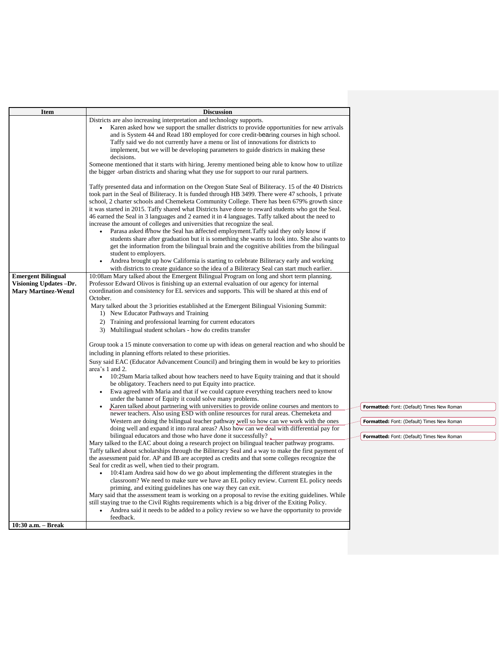| Item                                                | <b>Discussion</b>                                                                                                                                                                                          |                                            |
|-----------------------------------------------------|------------------------------------------------------------------------------------------------------------------------------------------------------------------------------------------------------------|--------------------------------------------|
|                                                     | Districts are also increasing interpretation and technology supports.                                                                                                                                      |                                            |
|                                                     | Karen asked how we support the smaller districts to provide opportunities for new arrivals                                                                                                                 |                                            |
|                                                     | and is System 44 and Read 180 employed for core credit-bearing courses in high school.                                                                                                                     |                                            |
|                                                     | Taffy said we do not currently have a menu or list of innovations for districts to<br>implement, but we will be developing parameters to guide districts in making these                                   |                                            |
|                                                     | decisions.                                                                                                                                                                                                 |                                            |
|                                                     | Someone mentioned that it starts with hiring. Jeremy mentioned being able to know how to utilize                                                                                                           |                                            |
|                                                     | the bigger -urban districts and sharing what they use for support to our rural partners.                                                                                                                   |                                            |
|                                                     |                                                                                                                                                                                                            |                                            |
|                                                     | Taffy presented data and information on the Oregon State Seal of Biliteracy. 15 of the 40 Districts<br>took part in the Seal of Biliteracy. It is funded through HB 3499. There were 47 schools, 1 private |                                            |
|                                                     | school, 2 charter schools and Chemeketa Community College. There has been 679% growth since                                                                                                                |                                            |
|                                                     | it was started in 2015. Taffy shared what Districts have done to reward students who got the Seal.                                                                                                         |                                            |
|                                                     | 46 earned the Seal in 3 languages and 2 earned it in 4 languages. Taffy talked about the need to                                                                                                           |                                            |
|                                                     | increase the amount of colleges and universities that recognize the seal.                                                                                                                                  |                                            |
|                                                     | Parasa asked if/how the Seal has affected employment. Taffy said they only know if                                                                                                                         |                                            |
|                                                     | students share after graduation but it is something she wants to look into. She also wants to<br>get the information from the bilingual brain and the cognitive abilities from the bilingual               |                                            |
|                                                     | student to employers.                                                                                                                                                                                      |                                            |
|                                                     | Andrea brought up how California is starting to celebrate Biliteracy early and working                                                                                                                     |                                            |
|                                                     | with districts to create guidance so the idea of a Biliteracy Seal can start much earlier.                                                                                                                 |                                            |
| <b>Emergent Bilingual</b>                           | 10:08am Mary talked about the Emergent Bilingual Program on long and short term planning.                                                                                                                  |                                            |
| Visioning Updates-Dr.<br><b>Mary Martinez-Wenzl</b> | Professor Edward Olivos is finishing up an external evaluation of our agency for internal<br>coordination and consistency for EL services and supports. This will be shared at this end of                 |                                            |
|                                                     | October.                                                                                                                                                                                                   |                                            |
|                                                     | Mary talked about the 3 priorities established at the Emergent Bilingual Visioning Summit:                                                                                                                 |                                            |
|                                                     | 1) New Educator Pathways and Training                                                                                                                                                                      |                                            |
|                                                     | 2) Training and professional learning for current educators                                                                                                                                                |                                            |
|                                                     | 3) Multilingual student scholars - how do credits transfer                                                                                                                                                 |                                            |
|                                                     | Group took a 15 minute conversation to come up with ideas on general reaction and who should be                                                                                                            |                                            |
|                                                     | including in planning efforts related to these priorities.                                                                                                                                                 |                                            |
|                                                     | Susy said EAC (Educator Advancement Council) and bringing them in would be key to priorities                                                                                                               |                                            |
|                                                     | area's 1 and 2.                                                                                                                                                                                            |                                            |
|                                                     | 10:29am Maria talked about how teachers need to have Equity training and that it should                                                                                                                    |                                            |
|                                                     | be obligatory. Teachers need to put Equity into practice.<br>Ewa agreed with Maria and that if we could capture everything teachers need to know                                                           |                                            |
|                                                     | under the banner of Equity it could solve many problems.                                                                                                                                                   |                                            |
|                                                     | Karen talked about partnering with universities to provide online courses and mentors to                                                                                                                   | Formatted: Font: (Default) Times New Roman |
|                                                     | newer teachers. Also using ESD with online resources for rural areas. Chemeketa and                                                                                                                        |                                            |
|                                                     | Western are doing the bilingual teacher pathway well so how can we work with the ones<br>doing well and expand it into rural areas? Also how can we deal with differential pay for                         | Formatted: Font: (Default) Times New Roman |
|                                                     | bilingual educators and those who have done it successfully?                                                                                                                                               | Formatted: Font: (Default) Times New Roman |
|                                                     | Mary talked to the EAC about doing a research project on bilingual teacher pathway programs.                                                                                                               |                                            |
|                                                     | Taffy talked about scholarships through the Biliteracy Seal and a way to make the first payment of                                                                                                         |                                            |
|                                                     | the assessment paid for. AP and IB are accepted as credits and that some colleges recognize the                                                                                                            |                                            |
|                                                     | Seal for credit as well, when tied to their program.                                                                                                                                                       |                                            |
|                                                     | 10:41am Andrea said how do we go about implementing the different strategies in the<br>classroom? We need to make sure we have an EL policy review. Current EL policy needs                                |                                            |
|                                                     | priming, and exiting guidelines has one way they can exit.                                                                                                                                                 |                                            |
|                                                     | Mary said that the assessment team is working on a proposal to revise the exiting guidelines. While                                                                                                        |                                            |
|                                                     | still staying true to the Civil Rights requirements which is a big driver of the Exiting Policy.                                                                                                           |                                            |
|                                                     | Andrea said it needs to be added to a policy review so we have the opportunity to provide<br>feedback.                                                                                                     |                                            |
| 10:30 a.m. - Break                                  |                                                                                                                                                                                                            |                                            |
|                                                     |                                                                                                                                                                                                            |                                            |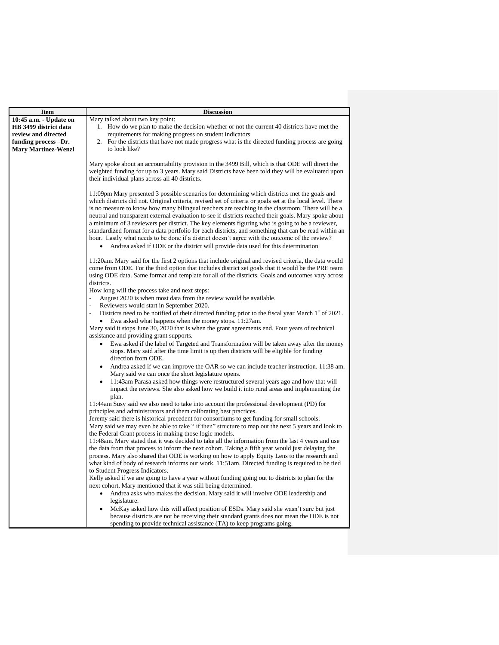| <b>Item</b>                                                                                                                  | <b>Discussion</b>                                                                                                                                                                                                                                                                                                                                                                                                                                                                                                                                                                                                                                                                                                                                                                                                           |  |
|------------------------------------------------------------------------------------------------------------------------------|-----------------------------------------------------------------------------------------------------------------------------------------------------------------------------------------------------------------------------------------------------------------------------------------------------------------------------------------------------------------------------------------------------------------------------------------------------------------------------------------------------------------------------------------------------------------------------------------------------------------------------------------------------------------------------------------------------------------------------------------------------------------------------------------------------------------------------|--|
| 10:45 a.m. - Update on<br>HB 3499 district data<br>review and directed<br>funding process -Dr.<br><b>Mary Martinez-Wenzl</b> | Mary talked about two key point:<br>1. How do we plan to make the decision whether or not the current 40 districts have met the<br>requirements for making progress on student indicators<br>2. For the districts that have not made progress what is the directed funding process are going<br>to look like?                                                                                                                                                                                                                                                                                                                                                                                                                                                                                                               |  |
|                                                                                                                              | Mary spoke about an accountability provision in the 3499 Bill, which is that ODE will direct the<br>weighted funding for up to 3 years. Mary said Districts have been told they will be evaluated upon<br>their individual plans across all 40 districts.                                                                                                                                                                                                                                                                                                                                                                                                                                                                                                                                                                   |  |
|                                                                                                                              | 11:09pm Mary presented 3 possible scenarios for determining which districts met the goals and<br>which districts did not. Original criteria, revised set of criteria or goals set at the local level. There<br>is no measure to know how many bilingual teachers are teaching in the classroom. There will be a<br>neutral and transparent external evaluation to see if districts reached their goals. Mary spoke about<br>a minimum of 3 reviewers per district. The key elements figuring who is going to be a reviewer,<br>standardized format for a data portfolio for each districts, and something that can be read within an<br>hour. Lastly what needs to be done if a district doesn't agree with the outcome of the review?<br>Andrea asked if ODE or the district will provide data used for this determination |  |
|                                                                                                                              | 11:20am. Mary said for the first 2 options that include original and revised criteria, the data would<br>come from ODE. For the third option that includes district set goals that it would be the PRE team<br>using ODE data. Same format and template for all of the districts. Goals and outcomes vary across<br>districts.                                                                                                                                                                                                                                                                                                                                                                                                                                                                                              |  |
|                                                                                                                              | How long will the process take and next steps:<br>August 2020 is when most data from the review would be available.<br>$\overline{a}$<br>Reviewers would start in September 2020.                                                                                                                                                                                                                                                                                                                                                                                                                                                                                                                                                                                                                                           |  |
|                                                                                                                              | Districts need to be notified of their directed funding prior to the fiscal year March $1st$ of 2021.<br>Ewa asked what happens when the money stops. 11:27am.<br>$\bullet$<br>Mary said it stops June 30, 2020 that is when the grant agreements end. Four years of technical<br>assistance and providing grant supports.<br>Ewa asked if the label of Targeted and Transformation will be taken away after the money<br>stops. Mary said after the time limit is up then districts will be eligible for funding<br>direction from ODE.                                                                                                                                                                                                                                                                                    |  |
|                                                                                                                              | Andrea asked if we can improve the OAR so we can include teacher instruction. 11:38 am.<br>Mary said we can once the short legislature opens.<br>11:43am Parasa asked how things were restructured several years ago and how that will<br>impact the reviews. She also asked how we build it into rural areas and implementing the                                                                                                                                                                                                                                                                                                                                                                                                                                                                                          |  |
|                                                                                                                              | plan.<br>11:44am Susy said we also need to take into account the professional development (PD) for<br>principles and administrators and them calibrating best practices.                                                                                                                                                                                                                                                                                                                                                                                                                                                                                                                                                                                                                                                    |  |
|                                                                                                                              | Jeremy said there is historical precedent for consortiums to get funding for small schools.<br>Mary said we may even be able to take " if then" structure to map out the next 5 years and look to<br>the Federal Grant process in making those logic models.                                                                                                                                                                                                                                                                                                                                                                                                                                                                                                                                                                |  |
|                                                                                                                              | 11:48am. Mary stated that it was decided to take all the information from the last 4 years and use<br>the data from that process to inform the next cohort. Taking a fifth year would just delaying the<br>process. Mary also shared that ODE is working on how to apply Equity Lens to the research and<br>what kind of body of research informs our work. 11:51am. Directed funding is required to be tied                                                                                                                                                                                                                                                                                                                                                                                                                |  |
|                                                                                                                              | to Student Progress Indicators.<br>Kelly asked if we are going to have a year without funding going out to districts to plan for the<br>next cohort. Mary mentioned that it was still being determined.                                                                                                                                                                                                                                                                                                                                                                                                                                                                                                                                                                                                                     |  |
|                                                                                                                              | Andrea asks who makes the decision. Mary said it will involve ODE leadership and<br>legislature.<br>McKay asked how this will affect position of ESDs. Mary said she wasn't sure but just<br>because districts are not be receiving their standard grants does not mean the ODE is not<br>spending to provide technical assistance (TA) to keep programs going.                                                                                                                                                                                                                                                                                                                                                                                                                                                             |  |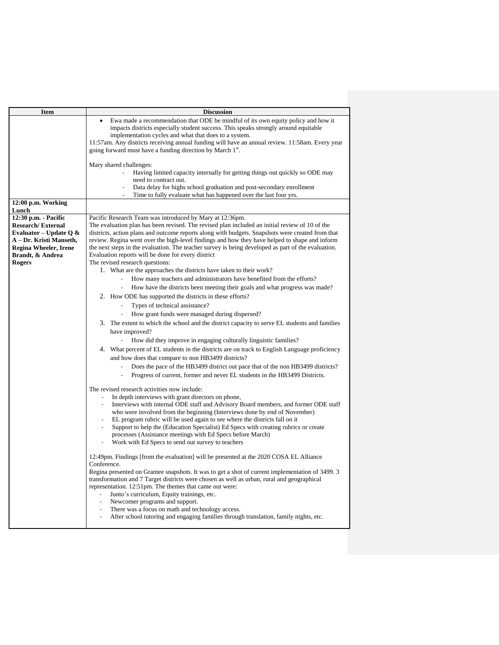| <b>Item</b>                                                                                                                                           | <b>Discussion</b>                                                                                                                                                                                                                                                                                                                                                                                                                                                                                                                                                                              |  |
|-------------------------------------------------------------------------------------------------------------------------------------------------------|------------------------------------------------------------------------------------------------------------------------------------------------------------------------------------------------------------------------------------------------------------------------------------------------------------------------------------------------------------------------------------------------------------------------------------------------------------------------------------------------------------------------------------------------------------------------------------------------|--|
|                                                                                                                                                       | Ewa made a recommendation that ODE be mindful of its own equity policy and how it<br>impacts districts especially student success. This speaks strongly around equitable<br>implementation cycles and what that does to a system.<br>11:57am. Any districts receiving annual funding will have an annual review. 11:58am. Every year<br>going forward must have a funding direction by March 1 <sup>st</sup> .                                                                                                                                                                                 |  |
|                                                                                                                                                       |                                                                                                                                                                                                                                                                                                                                                                                                                                                                                                                                                                                                |  |
|                                                                                                                                                       | Mary shared challenges:                                                                                                                                                                                                                                                                                                                                                                                                                                                                                                                                                                        |  |
|                                                                                                                                                       | Having limited capacity internally for getting things out quickly so ODE may                                                                                                                                                                                                                                                                                                                                                                                                                                                                                                                   |  |
|                                                                                                                                                       | need to contract out.                                                                                                                                                                                                                                                                                                                                                                                                                                                                                                                                                                          |  |
|                                                                                                                                                       | Data delay for highs school graduation and post-secondary enrollment<br>Time to fully evaluate what has happened over the last four yrs.                                                                                                                                                                                                                                                                                                                                                                                                                                                       |  |
| 12:00 p.m. Working                                                                                                                                    |                                                                                                                                                                                                                                                                                                                                                                                                                                                                                                                                                                                                |  |
| Lunch                                                                                                                                                 |                                                                                                                                                                                                                                                                                                                                                                                                                                                                                                                                                                                                |  |
| 12:30 p.m. - Pacific                                                                                                                                  | Pacific Research Team was introduced by Mary at 12:36pm.                                                                                                                                                                                                                                                                                                                                                                                                                                                                                                                                       |  |
| <b>Research/External</b><br>Evaluator – Update Q $\&$<br>A – Dr. Kristi Manseth,<br><b>Regina Wheeler, Irene</b><br>Brandt, & Andrea<br><b>Rogers</b> | The evaluation plan has been revised. The revised plan included an initial review of 10 of the<br>districts, action plans and outcome reports along with budgets. Snapshots were created from that<br>review. Regina went over the high-level findings and how they have helped to shape and inform<br>the next steps in the evaluation. The teacher survey is being developed as part of the evaluation.<br>Evaluation reports will be done for every district<br>The revised research questions:                                                                                             |  |
|                                                                                                                                                       | 1. What are the approaches the districts have taken to their work?                                                                                                                                                                                                                                                                                                                                                                                                                                                                                                                             |  |
|                                                                                                                                                       | How many teachers and administrators have benefited from the efforts?                                                                                                                                                                                                                                                                                                                                                                                                                                                                                                                          |  |
|                                                                                                                                                       | How have the districts been meeting their goals and what progress was made?                                                                                                                                                                                                                                                                                                                                                                                                                                                                                                                    |  |
|                                                                                                                                                       | 2. How ODE has supported the districts in these efforts?                                                                                                                                                                                                                                                                                                                                                                                                                                                                                                                                       |  |
|                                                                                                                                                       | Types of technical assistance?                                                                                                                                                                                                                                                                                                                                                                                                                                                                                                                                                                 |  |
|                                                                                                                                                       | How grant funds were managed during dispersed?                                                                                                                                                                                                                                                                                                                                                                                                                                                                                                                                                 |  |
|                                                                                                                                                       | 3. The extent to which the school and the district capacity to serve EL students and families<br>have improved?                                                                                                                                                                                                                                                                                                                                                                                                                                                                                |  |
|                                                                                                                                                       | How did they improve in engaging culturally linguistic families?                                                                                                                                                                                                                                                                                                                                                                                                                                                                                                                               |  |
|                                                                                                                                                       | 4. What percent of EL students in the districts are on track to English Language proficiency                                                                                                                                                                                                                                                                                                                                                                                                                                                                                                   |  |
|                                                                                                                                                       | and how does that compare to non HB3499 districts?                                                                                                                                                                                                                                                                                                                                                                                                                                                                                                                                             |  |
|                                                                                                                                                       | Does the pace of the HB3499 district out pace that of the non HB3499 districts?<br>$\overline{\phantom{a}}$                                                                                                                                                                                                                                                                                                                                                                                                                                                                                    |  |
|                                                                                                                                                       | Progress of current, former and never EL students in the HB3499 Districts.                                                                                                                                                                                                                                                                                                                                                                                                                                                                                                                     |  |
|                                                                                                                                                       | The revised research activities now include:<br>In depth interviews with grant directors on phone,<br>Interviews with internal ODE staff and Advisory Board members, and former ODE staff<br>who were involved from the beginning (Interviews done by end of November)<br>EL program rubric will be used again to see where the districts fall on it<br>Support to help the (Education Specialist) Ed Specs with creating rubrics or create<br>processes (Assistance meetings with Ed Specs before March)<br>Work with Ed Specs to send out survey to teachers                                 |  |
|                                                                                                                                                       | 12:49pm. Findings [from the evaluation] will be presented at the 2020 COSA EL Alliance<br>Conference.<br>Regina presented on Grantee snapshots. It was to get a shot of current implementation of 3499. 3<br>transformation and 7 Target districts were chosen as well as urban, rural and geographical<br>representation. 12:51pm. The themes that came out were:<br>Junto's curriculum, Equity trainings, etc.<br>Newcomer programs and support.<br>There was a focus on math and technology access.<br>After school tutoring and engaging families through translation, family nights, etc. |  |